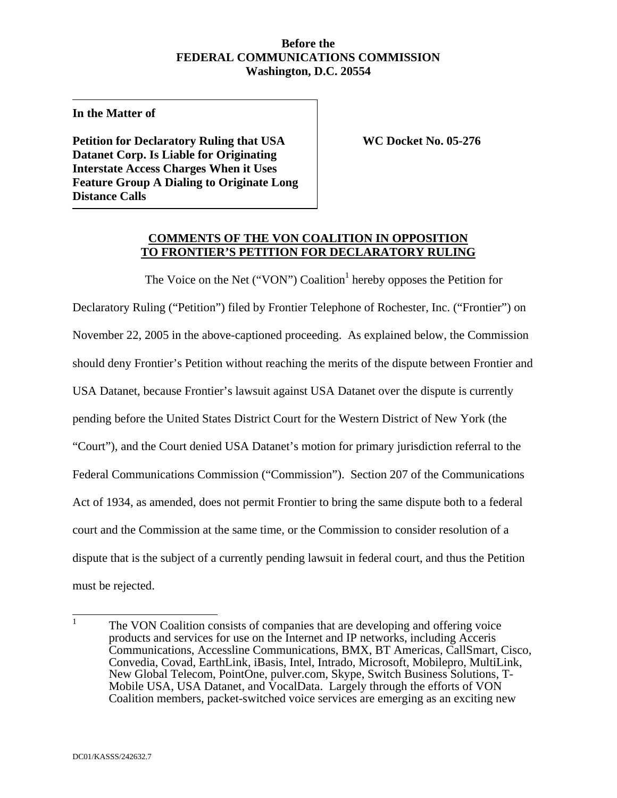#### **Before the FEDERAL COMMUNICATIONS COMMISSION Washington, D.C. 20554**

**In the Matter of** 

**Petition for Declaratory Ruling that USA WC Docket No. 05-276 Datanet Corp. Is Liable for Originating Interstate Access Charges When it Uses Feature Group A Dialing to Originate Long Distance Calls** 

### **COMMENTS OF THE VON COALITION IN OPPOSITION TO FRONTIER'S PETITION FOR DECLARATORY RULING**

The Voice on the Net ("VON") Coalition<sup>1</sup> hereby opposes the Petition for Declaratory Ruling ("Petition") filed by Frontier Telephone of Rochester, Inc. ("Frontier") on November 22, 2005 in the above-captioned proceeding. As explained below, the Commission should deny Frontier's Petition without reaching the merits of the dispute between Frontier and USA Datanet, because Frontier's lawsuit against USA Datanet over the dispute is currently pending before the United States District Court for the Western District of New York (the "Court"), and the Court denied USA Datanet's motion for primary jurisdiction referral to the Federal Communications Commission ("Commission"). Section 207 of the Communications Act of 1934, as amended, does not permit Frontier to bring the same dispute both to a federal court and the Commission at the same time, or the Commission to consider resolution of a dispute that is the subject of a currently pending lawsuit in federal court, and thus the Petition must be rejected.

 $\frac{1}{1}$  The VON Coalition consists of companies that are developing and offering voice products and services for use on the Internet and IP networks, including Acceris Communications, Accessline Communications, BMX, BT Americas, CallSmart, Cisco, Convedia, Covad, EarthLink, iBasis, Intel, Intrado, Microsoft, Mobilepro, MultiLink, New Global Telecom, PointOne, pulver.com, Skype, Switch Business Solutions, T-Mobile USA, USA Datanet, and VocalData. Largely through the efforts of VON Coalition members, packet-switched voice services are emerging as an exciting new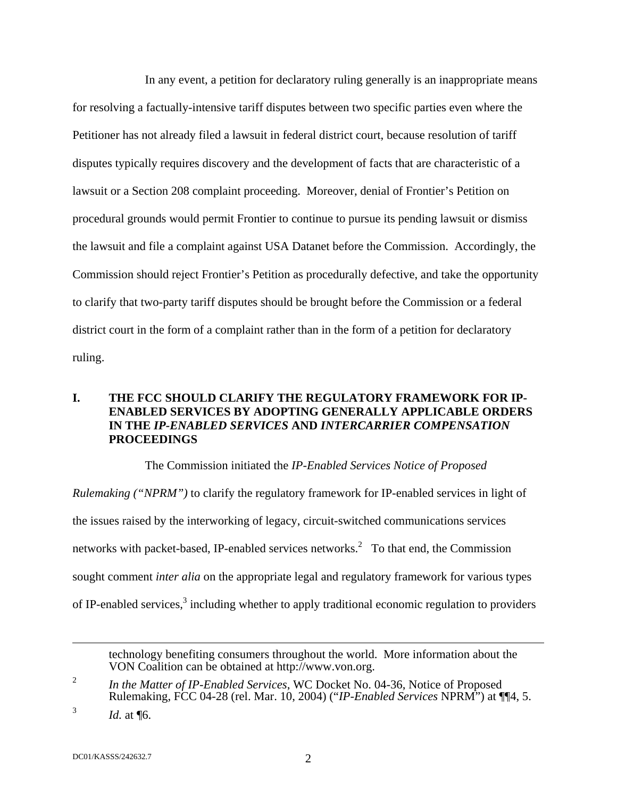In any event, a petition for declaratory ruling generally is an inappropriate means for resolving a factually-intensive tariff disputes between two specific parties even where the Petitioner has not already filed a lawsuit in federal district court, because resolution of tariff disputes typically requires discovery and the development of facts that are characteristic of a lawsuit or a Section 208 complaint proceeding. Moreover, denial of Frontier's Petition on procedural grounds would permit Frontier to continue to pursue its pending lawsuit or dismiss the lawsuit and file a complaint against USA Datanet before the Commission. Accordingly, the Commission should reject Frontier's Petition as procedurally defective, and take the opportunity to clarify that two-party tariff disputes should be brought before the Commission or a federal district court in the form of a complaint rather than in the form of a petition for declaratory ruling.

## **I. THE FCC SHOULD CLARIFY THE REGULATORY FRAMEWORK FOR IP-ENABLED SERVICES BY ADOPTING GENERALLY APPLICABLE ORDERS IN THE** *IP-ENABLED SERVICES* **AND** *INTERCARRIER COMPENSATION*  **PROCEEDINGS**

The Commission initiated the *IP-Enabled Services Notice of Proposed* 

*Rulemaking ("NPRM")* to clarify the regulatory framework for IP-enabled services in light of the issues raised by the interworking of legacy, circuit-switched communications services networks with packet-based, IP-enabled services networks.<sup>2</sup> To that end, the Commission sought comment *inter alia* on the appropriate legal and regulatory framework for various types of IP-enabled services,<sup>3</sup> including whether to apply traditional economic regulation to providers

technology benefiting consumers throughout the world. More information about the VON Coalition can be obtained at http://www.von.org.

 $\overline{a}$ 

<sup>2</sup> *In the Matter of IP-Enabled Services*, WC Docket No. 04-36, Notice of Proposed Rulemaking, FCC 04-28 (rel. Mar. 10, 2004) ("*IP-Enabled Services* NPRM") at ¶¶4, 5.

<sup>3</sup> *Id.* at ¶6.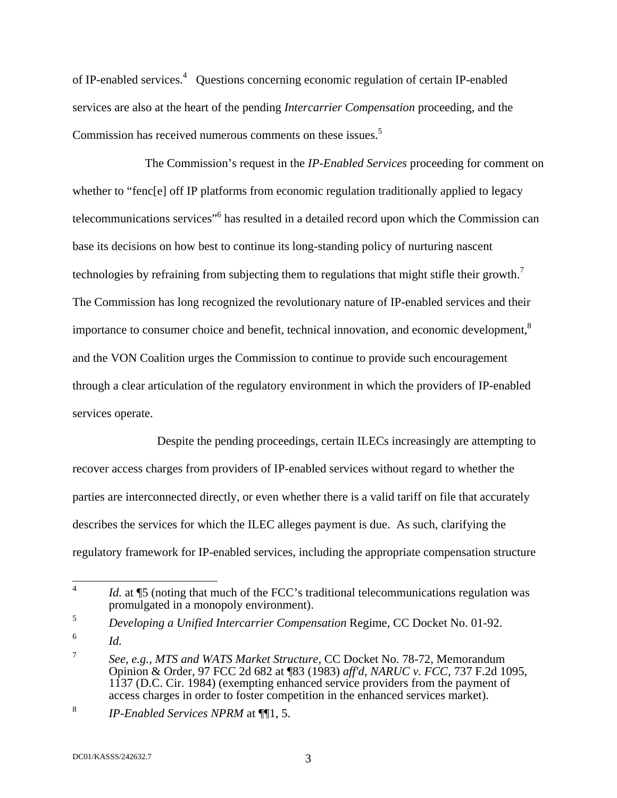of IP-enabled services.<sup>4</sup> Questions concerning economic regulation of certain IP-enabled services are also at the heart of the pending *Intercarrier Compensation* proceeding, and the Commission has received numerous comments on these issues.<sup>5</sup>

The Commission's request in the *IP-Enabled Services* proceeding for comment on whether to "fenc[e] off IP platforms from economic regulation traditionally applied to legacy telecommunications services<sup>"6</sup> has resulted in a detailed record upon which the Commission can base its decisions on how best to continue its long-standing policy of nurturing nascent technologies by refraining from subjecting them to regulations that might stifle their growth.<sup>7</sup> The Commission has long recognized the revolutionary nature of IP-enabled services and their importance to consumer choice and benefit, technical innovation, and economic development,<sup>8</sup> and the VON Coalition urges the Commission to continue to provide such encouragement through a clear articulation of the regulatory environment in which the providers of IP-enabled services operate.

 Despite the pending proceedings, certain ILECs increasingly are attempting to recover access charges from providers of IP-enabled services without regard to whether the parties are interconnected directly, or even whether there is a valid tariff on file that accurately describes the services for which the ILEC alleges payment is due. As such, clarifying the regulatory framework for IP-enabled services, including the appropriate compensation structure

6 *Id.*

 $\frac{1}{4}$ *Id.* at **[5** (noting that much of the FCC's traditional telecommunications regulation was promulgated in a monopoly environment).

<sup>5</sup> *Developing a Unified Intercarrier Compensation* Regime, CC Docket No. 01-92.

<sup>7</sup> *See, e.g., MTS and WATS Market Structure*, CC Docket No. 78-72, Memorandum Opinion & Order, 97 FCC 2d 682 at ¶83 (1983) *aff'd, NARUC v. FCC,* 737 F.2d 1095, 1137 (D.C. Cir. 1984) (exempting enhanced service providers from the payment of access charges in order to foster competition in the enhanced services market).

<sup>8</sup> *IP-Enabled Services NPRM* at ¶¶1, 5.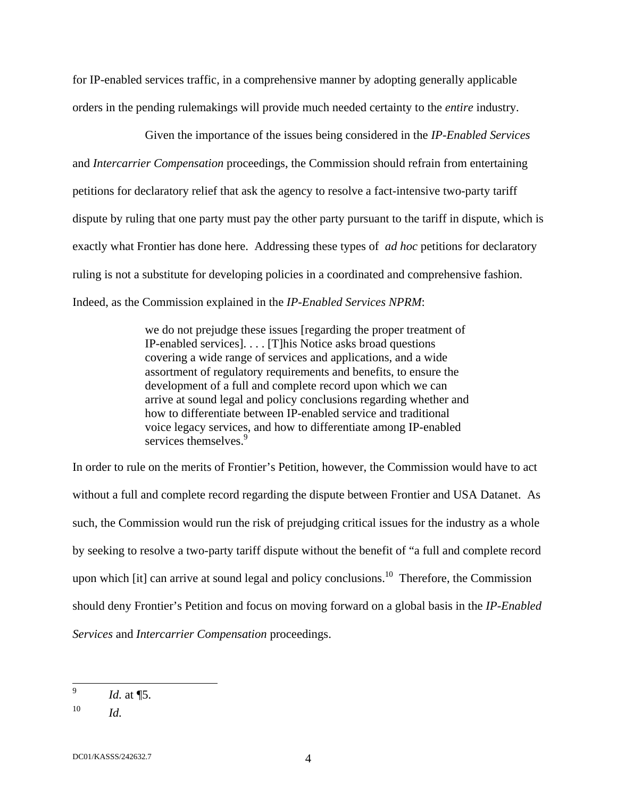for IP-enabled services traffic, in a comprehensive manner by adopting generally applicable orders in the pending rulemakings will provide much needed certainty to the *entire* industry.

Given the importance of the issues being considered in the *IP-Enabled Services* and *Intercarrier Compensation* proceedings, the Commission should refrain from entertaining petitions for declaratory relief that ask the agency to resolve a fact-intensive two-party tariff dispute by ruling that one party must pay the other party pursuant to the tariff in dispute, which is exactly what Frontier has done here. Addressing these types of *ad hoc* petitions for declaratory ruling is not a substitute for developing policies in a coordinated and comprehensive fashion. Indeed, as the Commission explained in the *IP-Enabled Services NPRM*:

> we do not prejudge these issues [regarding the proper treatment of IP-enabled services]. . . . [T]his Notice asks broad questions covering a wide range of services and applications, and a wide assortment of regulatory requirements and benefits, to ensure the development of a full and complete record upon which we can arrive at sound legal and policy conclusions regarding whether and how to differentiate between IP-enabled service and traditional voice legacy services, and how to differentiate among IP-enabled services themselves.<sup>9</sup>

In order to rule on the merits of Frontier's Petition, however, the Commission would have to act without a full and complete record regarding the dispute between Frontier and USA Datanet. As such, the Commission would run the risk of prejudging critical issues for the industry as a whole by seeking to resolve a two-party tariff dispute without the benefit of "a full and complete record upon which  $[it]$  can arrive at sound legal and policy conclusions.<sup>10</sup> Therefore, the Commission should deny Frontier's Petition and focus on moving forward on a global basis in the *IP-Enabled Services* and *Intercarrier Compensation* proceedings.

<sup>—&</sup>lt;br>9 *Id.* at ¶5.

 $10$  *Id.* 

DC01/KASSS/242632.7 4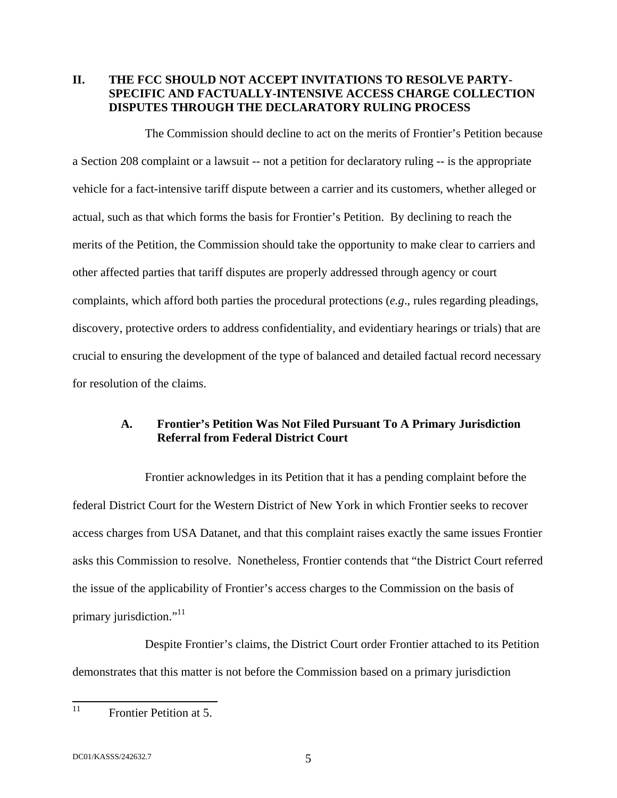## **II. THE FCC SHOULD NOT ACCEPT INVITATIONS TO RESOLVE PARTY-SPECIFIC AND FACTUALLY-INTENSIVE ACCESS CHARGE COLLECTION DISPUTES THROUGH THE DECLARATORY RULING PROCESS**

The Commission should decline to act on the merits of Frontier's Petition because a Section 208 complaint or a lawsuit -- not a petition for declaratory ruling -- is the appropriate vehicle for a fact-intensive tariff dispute between a carrier and its customers, whether alleged or actual, such as that which forms the basis for Frontier's Petition. By declining to reach the merits of the Petition, the Commission should take the opportunity to make clear to carriers and other affected parties that tariff disputes are properly addressed through agency or court complaints, which afford both parties the procedural protections (*e.g*., rules regarding pleadings, discovery, protective orders to address confidentiality, and evidentiary hearings or trials) that are crucial to ensuring the development of the type of balanced and detailed factual record necessary for resolution of the claims.

#### **A. Frontier's Petition Was Not Filed Pursuant To A Primary Jurisdiction Referral from Federal District Court**

Frontier acknowledges in its Petition that it has a pending complaint before the federal District Court for the Western District of New York in which Frontier seeks to recover access charges from USA Datanet, and that this complaint raises exactly the same issues Frontier asks this Commission to resolve. Nonetheless, Frontier contends that "the District Court referred the issue of the applicability of Frontier's access charges to the Commission on the basis of primary jurisdiction."<sup>11</sup>

Despite Frontier's claims, the District Court order Frontier attached to its Petition demonstrates that this matter is not before the Commission based on a primary jurisdiction

 $11$ **Frontier Petition at 5.**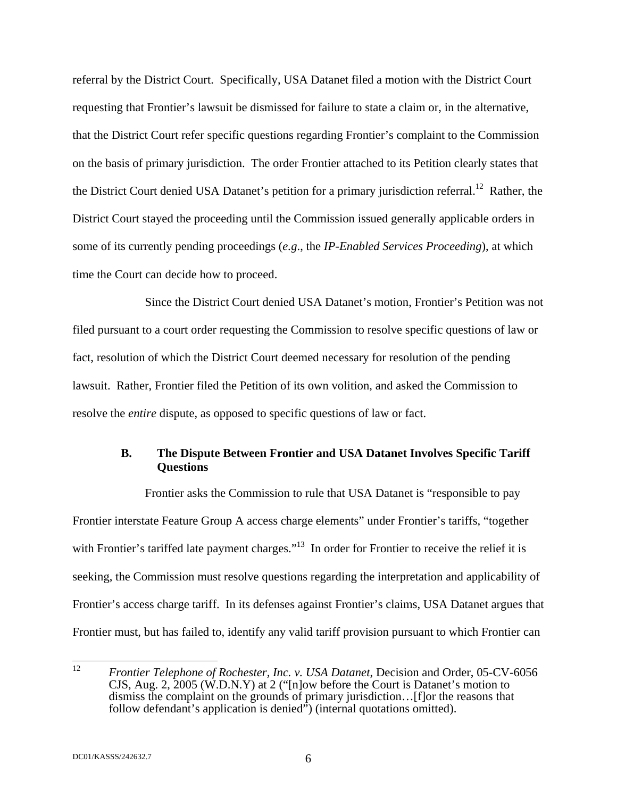referral by the District Court. Specifically, USA Datanet filed a motion with the District Court requesting that Frontier's lawsuit be dismissed for failure to state a claim or, in the alternative, that the District Court refer specific questions regarding Frontier's complaint to the Commission on the basis of primary jurisdiction. The order Frontier attached to its Petition clearly states that the District Court denied USA Datanet's petition for a primary jurisdiction referral.<sup>12</sup> Rather, the District Court stayed the proceeding until the Commission issued generally applicable orders in some of its currently pending proceedings (*e.g*., the *IP-Enabled Services Proceeding*), at which time the Court can decide how to proceed.

Since the District Court denied USA Datanet's motion, Frontier's Petition was not filed pursuant to a court order requesting the Commission to resolve specific questions of law or fact, resolution of which the District Court deemed necessary for resolution of the pending lawsuit. Rather, Frontier filed the Petition of its own volition, and asked the Commission to resolve the *entire* dispute, as opposed to specific questions of law or fact.

## **B. The Dispute Between Frontier and USA Datanet Involves Specific Tariff Questions**

Frontier asks the Commission to rule that USA Datanet is "responsible to pay Frontier interstate Feature Group A access charge elements" under Frontier's tariffs, "together with Frontier's tariffed late payment charges."<sup>13</sup> In order for Frontier to receive the relief it is seeking, the Commission must resolve questions regarding the interpretation and applicability of Frontier's access charge tariff. In its defenses against Frontier's claims, USA Datanet argues that Frontier must, but has failed to, identify any valid tariff provision pursuant to which Frontier can

<sup>12</sup> 12 *Frontier Telephone of Rochester, Inc. v. USA Datanet*, Decision and Order, 05-CV-6056 CJS, Aug. 2, 2005 (W.D.N.Y) at 2 ("[n]ow before the Court is Datanet's motion to dismiss the complaint on the grounds of primary jurisdiction...[f]or the reasons that follow defendant's application is denied") (internal quotations omitted).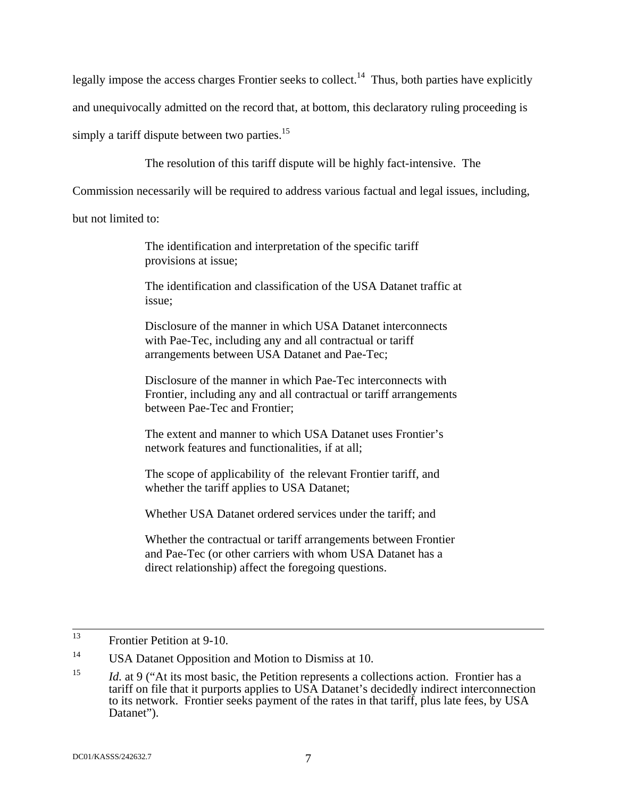legally impose the access charges Frontier seeks to collect.<sup>14</sup> Thus, both parties have explicitly

and unequivocally admitted on the record that, at bottom, this declaratory ruling proceeding is

simply a tariff dispute between two parties.<sup>15</sup>

The resolution of this tariff dispute will be highly fact-intensive. The

Commission necessarily will be required to address various factual and legal issues, including,

but not limited to:

The identification and interpretation of the specific tariff provisions at issue;

The identification and classification of the USA Datanet traffic at issue;

Disclosure of the manner in which USA Datanet interconnects with Pae-Tec, including any and all contractual or tariff arrangements between USA Datanet and Pae-Tec;

Disclosure of the manner in which Pae-Tec interconnects with Frontier, including any and all contractual or tariff arrangements between Pae-Tec and Frontier;

The extent and manner to which USA Datanet uses Frontier's network features and functionalities, if at all;

The scope of applicability of the relevant Frontier tariff, and whether the tariff applies to USA Datanet;

Whether USA Datanet ordered services under the tariff; and

Whether the contractual or tariff arrangements between Frontier and Pae-Tec (or other carriers with whom USA Datanet has a direct relationship) affect the foregoing questions.

 <sup>13</sup> Frontier Petition at 9-10.

<sup>&</sup>lt;sup>14</sup> USA Datanet Opposition and Motion to Dismiss at 10.

<sup>&</sup>lt;sup>15</sup> *Id.* at 9 ("At its most basic, the Petition represents a collections action. Frontier has a tariff on file that it purports applies to USA Datanet's decidedly indirect interconnection to its network. Frontier seeks payment of the rates in that tariff, plus late fees, by USA Datanet").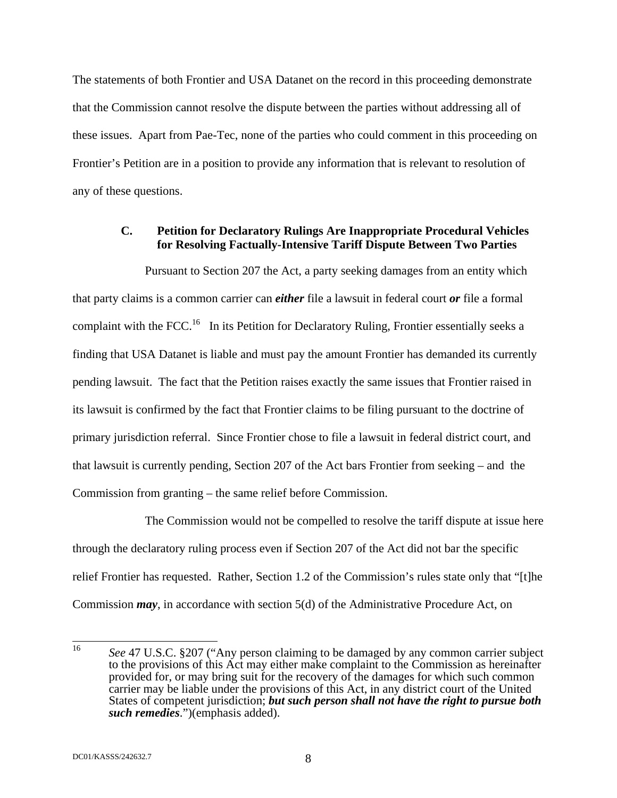The statements of both Frontier and USA Datanet on the record in this proceeding demonstrate that the Commission cannot resolve the dispute between the parties without addressing all of these issues. Apart from Pae-Tec, none of the parties who could comment in this proceeding on Frontier's Petition are in a position to provide any information that is relevant to resolution of any of these questions.

#### **C. Petition for Declaratory Rulings Are Inappropriate Procedural Vehicles for Resolving Factually-Intensive Tariff Dispute Between Two Parties**

Pursuant to Section 207 the Act, a party seeking damages from an entity which that party claims is a common carrier can *either* file a lawsuit in federal court *or* file a formal complaint with the FCC.<sup>16</sup> In its Petition for Declaratory Ruling, Frontier essentially seeks a finding that USA Datanet is liable and must pay the amount Frontier has demanded its currently pending lawsuit. The fact that the Petition raises exactly the same issues that Frontier raised in its lawsuit is confirmed by the fact that Frontier claims to be filing pursuant to the doctrine of primary jurisdiction referral. Since Frontier chose to file a lawsuit in federal district court, and that lawsuit is currently pending, Section 207 of the Act bars Frontier from seeking – and the Commission from granting – the same relief before Commission.

 The Commission would not be compelled to resolve the tariff dispute at issue here through the declaratory ruling process even if Section 207 of the Act did not bar the specific relief Frontier has requested. Rather, Section 1.2 of the Commission's rules state only that "[t]he Commission *may*, in accordance with section 5(d) of the Administrative Procedure Act, on

 $16$ See 47 U.S.C. §207 ("Any person claiming to be damaged by any common carrier subject to the provisions of this Act may either make complaint to the Commission as hereinafter provided for, or may bring suit for the recovery of the damages for which such common carrier may be liable under the provisions of this Act, in any district court of the United States of competent jurisdiction; *but such person shall not have the right to pursue both such remedies*.")(emphasis added).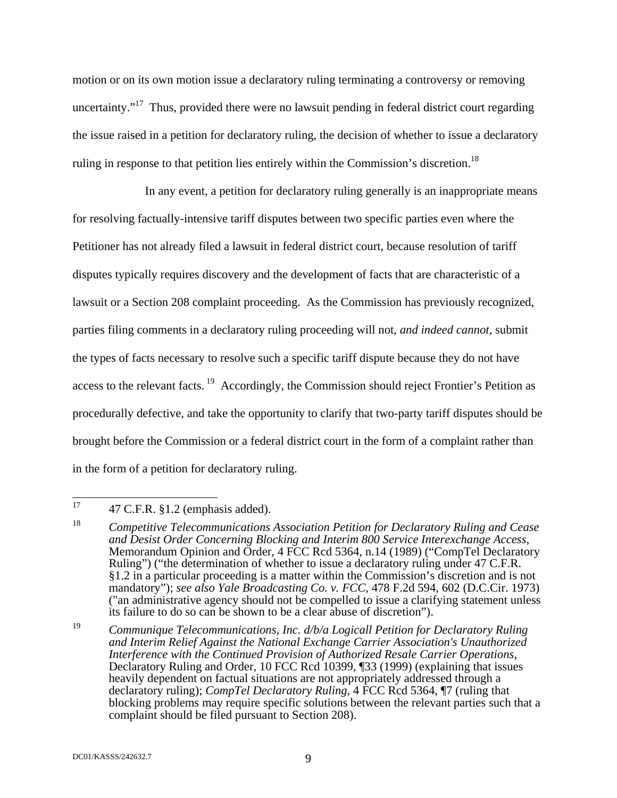motion or on its own motion issue a declaratory ruling terminating a controversy or removing uncertainty."<sup>17</sup> Thus, provided there were no lawsuit pending in federal district court regarding the issue raised in a petition for declaratory ruling, the decision of whether to issue a declaratory ruling in response to that petition lies entirely within the Commission's discretion.<sup>18</sup>

In any event, a petition for declaratory ruling generally is an inappropriate means for resolving factually-intensive tariff disputes between two specific parties even where the Petitioner has not already filed a lawsuit in federal district court, because resolution of tariff disputes typically requires discovery and the development of facts that are characteristic of a lawsuit or a Section 208 complaint proceeding. As the Commission has previously recognized, parties filing comments in a declaratory ruling proceeding will not, *and indeed cannot*, submit the types of facts necessary to resolve such a specific tariff dispute because they do not have access to the relevant facts.<sup>19</sup> Accordingly, the Commission should reject Frontier's Petition as procedurally defective, and take the opportunity to clarify that two-party tariff disputes should be brought before the Commission or a federal district court in the form of a complaint rather than in the form of a petition for declaratory ruling.

19 *Communique Telecommunications, Inc. d/b/a Logicall Petition for Declaratory Ruling and Interim Relief Against the National Exchange Carrier Association's Unauthorized Interference with the Continued Provision of Authorized Resale Carrier Operations*, Declaratory Ruling and Order, 10 FCC Rcd 10399, ¶33 (1999) (explaining that issues heavily dependent on factual situations are not appropriately addressed through a declaratory ruling); *CompTel Declaratory Ruling*, 4 FCC Rcd 5364, ¶7 (ruling that blocking problems may require specific solutions between the relevant parties such that a complaint should be filed pursuant to Section 208).

<sup>17</sup> 17 47 C.F.R. §1.2 (emphasis added).

<sup>18</sup> *Competitive Telecommunications Association Petition for Declaratory Ruling and Cease and Desist Order Concerning Blocking and Interim 800 Service Interexchange Access*, Memorandum Opinion and Order, 4 FCC Rcd 5364, n.14 (1989) ("CompTel Declaratory Ruling") ("the determination of whether to issue a declaratory ruling under 47 C.F.R. §1.2 in a particular proceeding is a matter within the Commission's discretion and is not mandatory"); *see also Yale Broadcasting Co. v. FCC*, 478 F.2d 594, 602 (D.C.Cir. 1973) ("an administrative agency should not be compelled to issue a clarifying statement unless its failure to do so can be shown to be a clear abuse of discretion").